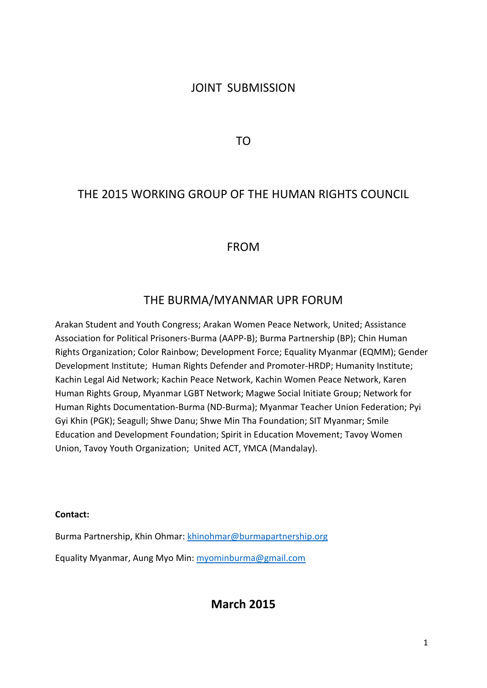# JOINT SUBMISSION

TO

# THE 2015 WORKING GROUP OF THE HUMAN RIGHTS COUNCIL

## FROM

# THE BURMA/MYANMAR UPR FORUM

Arakan Student and Youth Congress; Arakan Women Peace Network, United; Assistance Association for Political Prisoners-Burma (AAPP-B); Burma Partnership (BP); Chin Human Rights Organization; Color Rainbow; Development Force; Equality Myanmar (EQMM); Gender Development Institute; Human Rights Defender and Promoter-HRDP; Humanity Institute; Kachin Legal Aid Network; Kachin Peace Network, Kachin Women Peace Network, Karen Human Rights Group, Myanmar LGBT Network; Magwe Social Initiate Group; Network for Human Rights Documentation-Burma (ND-Burma); Myanmar Teacher Union Federation; Pyi Gyi Khin (PGK); Seagull; Shwe Danu; Shwe Min Tha Foundation; SIT Myanmar; Smile Education and Development Foundation; Spirit in Education Movement; Tavoy Women Union, Tavoy Youth Organization; United ACT, YMCA (Mandalay).

#### **Contact:**

Burma Partnership, Khin Ohmar: [khinohmar@burmapartnership.org](mailto:khinohmar@burmapartnership.org)

Equality Myanmar, Aung Myo Min: [myominburma@gmail.com](mailto:myominburma@gmail.com)

**March 2015**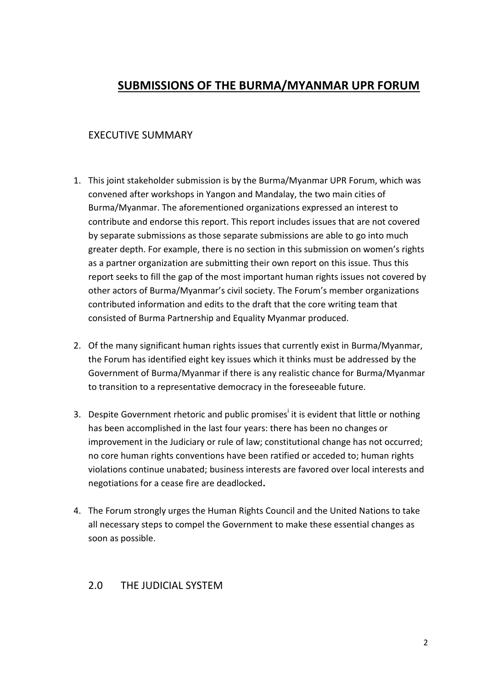# **SUBMISSIONS OF THE BURMA/MYANMAR UPR FORUM**

## EXECUTIVE SUMMARY

- 1. This joint stakeholder submission is by the Burma/Myanmar UPR Forum, which was convened after workshops in Yangon and Mandalay, the two main cities of Burma/Myanmar. The aforementioned organizations expressed an interest to contribute and endorse this report. This report includes issues that are not covered by separate submissions as those separate submissions are able to go into much greater depth. For example, there is no section in this submission on women's rights as a partner organization are submitting their own report on this issue. Thus this report seeks to fill the gap of the most important human rights issues not covered by other actors of Burma/Myanmar's civil society. The Forum's member organizations contributed information and edits to the draft that the core writing team that consisted of Burma Partnership and Equality Myanmar produced.
- 2. Of the many significant human rights issues that currently exist in Burma/Myanmar, the Forum has identified eight key issues which it thinks must be addressed by the Government of Burma/Myanmar if there is any realistic chance for Burma/Myanmar to transition to a representative democracy in the foreseeable future.
- 3. Despite Government rhetoric and public promises<sup>i</sup> it is evident that little or nothing has been accomplished in the last four years: there has been no changes or improvement in the Judiciary or rule of law; constitutional change has not occurred; no core human rights conventions have been ratified or acceded to; human rights violations continue unabated; business interests are favored over local interests and negotiations for a cease fire are deadlocked**.**
- 4. The Forum strongly urges the Human Rights Council and the United Nations to take all necessary steps to compel the Government to make these essential changes as soon as possible.

### 2.0 THE JUDICIAL SYSTEM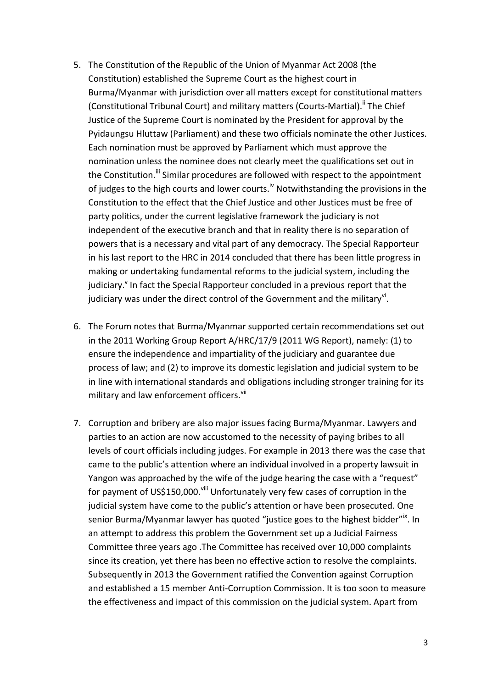- 5. The Constitution of the Republic of the Union of Myanmar Act 2008 (the Constitution) established the Supreme Court as the highest court in Burma/Myanmar with jurisdiction over all matters except for constitutional matters (Constitutional Tribunal Court) and military matters (Courts-Martial).<sup>ii</sup> The Chief Justice of the Supreme Court is nominated by the President for approval by the Pyidaungsu Hluttaw (Parliament) and these two officials nominate the other Justices. Each nomination must be approved by Parliament which must approve the nomination unless the nominee does not clearly meet the qualifications set out in the Constitution.<sup>iii</sup> Similar procedures are followed with respect to the appointment of judges to the high courts and lower courts.<sup>iv</sup> Notwithstanding the provisions in the Constitution to the effect that the Chief Justice and other Justices must be free of party politics, under the current legislative framework the judiciary is not independent of the executive branch and that in reality there is no separation of powers that is a necessary and vital part of any democracy. The Special Rapporteur in his last report to the HRC in 2014 concluded that there has been little progress in making or undertaking fundamental reforms to the judicial system, including the judiciary.<sup>Y</sup> In fact the Special Rapporteur concluded in a previous report that the judiciary was under the direct control of the Government and the military<sup>vi</sup>.
- 6. The Forum notes that Burma/Myanmar supported certain recommendations set out in the 2011 Working Group Report A/HRC/17/9 (2011 WG Report), namely: (1) to ensure the independence and impartiality of the judiciary and guarantee due process of law; and (2) to improve its domestic legislation and judicial system to be in line with international standards and obligations including stronger training for its military and law enforcement officers. Vii
- 7. Corruption and bribery are also major issues facing Burma/Myanmar. Lawyers and parties to an action are now accustomed to the necessity of paying bribes to all levels of court officials including judges. For example in 2013 there was the case that came to the public's attention where an individual involved in a property lawsuit in Yangon was approached by the wife of the judge hearing the case with a "request" for payment of US\$150,000.<sup>viii</sup> Unfortunately very few cases of corruption in the judicial system have come to the public's attention or have been prosecuted. One senior Burma/Myanmar lawyer has quoted "justice goes to the highest bidder"<sup>x</sup>. In an attempt to address this problem the Government set up a Judicial Fairness Committee three years ago .The Committee has received over 10,000 complaints since its creation, yet there has been no effective action to resolve the complaints. Subsequently in 2013 the Government ratified the Convention against Corruption and established a 15 member Anti-Corruption Commission. It is too soon to measure the effectiveness and impact of this commission on the judicial system. Apart from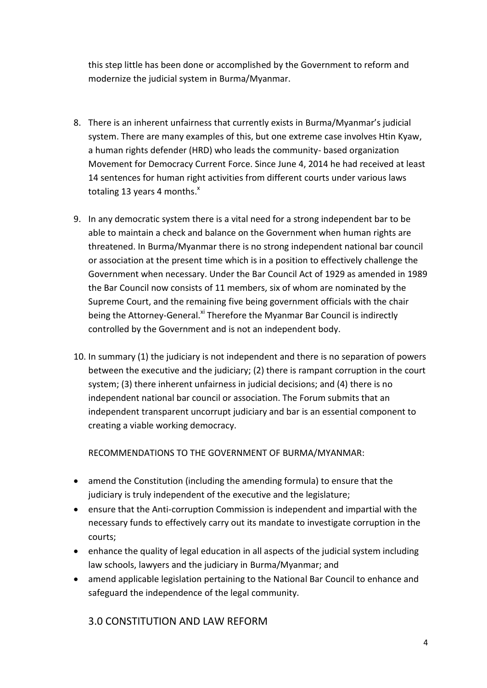this step little has been done or accomplished by the Government to reform and modernize the judicial system in Burma/Myanmar.

- 8. There is an inherent unfairness that currently exists in Burma/Myanmar's judicial system. There are many examples of this, but one extreme case involves Htin Kyaw, a human rights defender (HRD) who leads the community- based organization Movement for Democracy Current Force. Since June 4, 2014 he had received at least 14 sentences for human right activities from different courts under various laws totaling 13 years 4 months.<sup>x</sup>
- 9. In any democratic system there is a vital need for a strong independent bar to be able to maintain a check and balance on the Government when human rights are threatened. In Burma/Myanmar there is no strong independent national bar council or association at the present time which is in a position to effectively challenge the Government when necessary. Under the Bar Council Act of 1929 as amended in 1989 the Bar Council now consists of 11 members, six of whom are nominated by the Supreme Court, and the remaining five being government officials with the chair being the Attorney-General.<sup>xi</sup> Therefore the Myanmar Bar Council is indirectly controlled by the Government and is not an independent body.
- 10. In summary (1) the judiciary is not independent and there is no separation of powers between the executive and the judiciary; (2) there is rampant corruption in the court system; (3) there inherent unfairness in judicial decisions; and (4) there is no independent national bar council or association. The Forum submits that an independent transparent uncorrupt judiciary and bar is an essential component to creating a viable working democracy.

RECOMMENDATIONS TO THE GOVERNMENT OF BURMA/MYANMAR:

- amend the Constitution (including the amending formula) to ensure that the judiciary is truly independent of the executive and the legislature;
- ensure that the Anti-corruption Commission is independent and impartial with the necessary funds to effectively carry out its mandate to investigate corruption in the courts;
- enhance the quality of legal education in all aspects of the judicial system including law schools, lawyers and the judiciary in Burma/Myanmar; and
- amend applicable legislation pertaining to the National Bar Council to enhance and safeguard the independence of the legal community.

3.0 CONSTITUTION AND LAW REFORM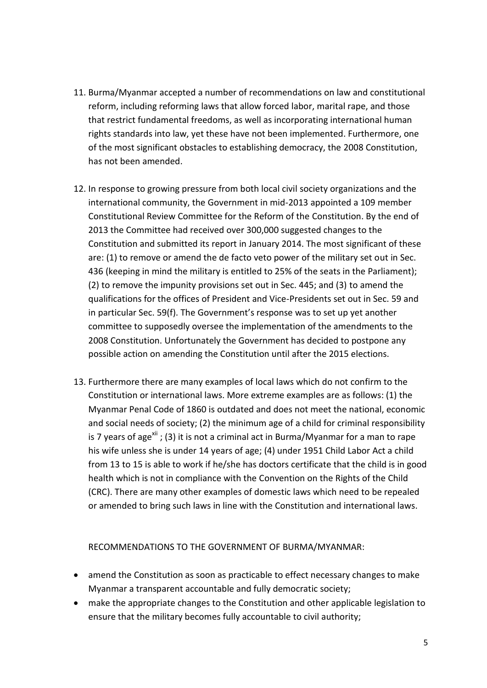- 11. Burma/Myanmar accepted a number of recommendations on law and constitutional reform, including reforming laws that allow forced labor, marital rape, and those that restrict fundamental freedoms, as well as incorporating international human rights standards into law, yet these have not been implemented. Furthermore, one of the most significant obstacles to establishing democracy, the 2008 Constitution, has not been amended.
- 12. In response to growing pressure from both local civil society organizations and the international community, the Government in mid-2013 appointed a 109 member Constitutional Review Committee for the Reform of the Constitution. By the end of 2013 the Committee had received over 300,000 suggested changes to the Constitution and submitted its report in January 2014. The most significant of these are: (1) to remove or amend the de facto veto power of the military set out in Sec. 436 (keeping in mind the military is entitled to 25% of the seats in the Parliament); (2) to remove the impunity provisions set out in Sec. 445; and (3) to amend the qualifications for the offices of President and Vice-Presidents set out in Sec. 59 and in particular Sec. 59(f). The Government's response was to set up yet another committee to supposedly oversee the implementation of the amendments to the 2008 Constitution. Unfortunately the Government has decided to postpone any possible action on amending the Constitution until after the 2015 elections.
- 13. Furthermore there are many examples of local laws which do not confirm to the Constitution or international laws. More extreme examples are as follows: (1) the Myanmar Penal Code of 1860 is outdated and does not meet the national, economic and social needs of society; (2) the minimum age of a child for criminal responsibility is 7 years of age<sup>xii</sup>; (3) it is not a criminal act in Burma/Myanmar for a man to rape his wife unless she is under 14 years of age; (4) under 1951 Child Labor Act a child from 13 to 15 is able to work if he/she has doctors certificate that the child is in good health which is not in compliance with the Convention on the Rights of the Child (CRC). There are many other examples of domestic laws which need to be repealed or amended to bring such laws in line with the Constitution and international laws.

RECOMMENDATIONS TO THE GOVERNMENT OF BURMA/MYANMAR:

- amend the Constitution as soon as practicable to effect necessary changes to make Myanmar a transparent accountable and fully democratic society;
- make the appropriate changes to the Constitution and other applicable legislation to ensure that the military becomes fully accountable to civil authority;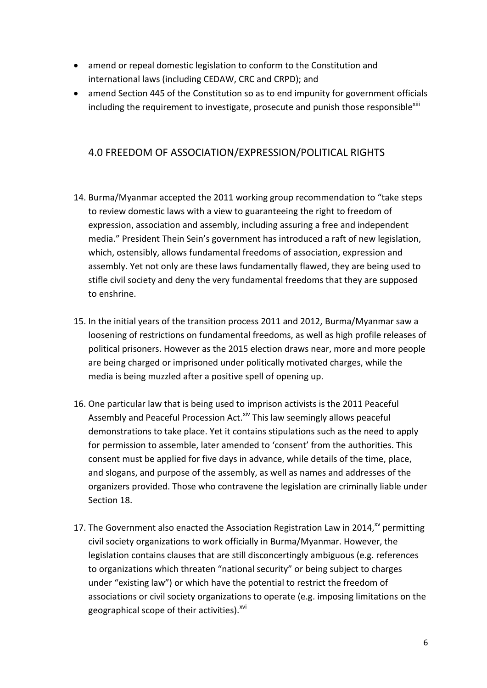- amend or repeal domestic legislation to conform to the Constitution and international laws (including CEDAW, CRC and CRPD); and
- amend Section 445 of the Constitution so as to end impunity for government officials including the requirement to investigate, prosecute and punish those responsible $x_{\text{lin}}$

## 4.0 FREEDOM OF ASSOCIATION/EXPRESSION/POLITICAL RIGHTS

- 14. Burma/Myanmar accepted the 2011 working group recommendation to "take steps to review domestic laws with a view to guaranteeing the right to freedom of expression, association and assembly, including assuring a free and independent media." President Thein Sein's government has introduced a raft of new legislation, which, ostensibly, allows fundamental freedoms of association, expression and assembly. Yet not only are these laws fundamentally flawed, they are being used to stifle civil society and deny the very fundamental freedoms that they are supposed to enshrine.
- 15. In the initial years of the transition process 2011 and 2012, Burma/Myanmar saw a loosening of restrictions on fundamental freedoms, as well as high profile releases of political prisoners. However as the 2015 election draws near, more and more people are being charged or imprisoned under politically motivated charges, while the media is being muzzled after a positive spell of opening up.
- 16. One particular law that is being used to imprison activists is the 2011 Peaceful Assembly and Peaceful Procession Act.<sup>xiv</sup> This law seemingly allows peaceful demonstrations to take place. Yet it contains stipulations such as the need to apply for permission to assemble, later amended to 'consent' from the authorities. This consent must be applied for five days in advance, while details of the time, place, and slogans, and purpose of the assembly, as well as names and addresses of the organizers provided. Those who contravene the legislation are criminally liable under Section 18.
- 17. The Government also enacted the Association Registration Law in 2014, $^{xy}$  permitting civil society organizations to work officially in Burma/Myanmar. However, the legislation contains clauses that are still disconcertingly ambiguous (e.g. references to organizations which threaten "national security" or being subject to charges under "existing law") or which have the potential to restrict the freedom of associations or civil society organizations to operate (e.g. imposing limitations on the geographical scope of their activities).<sup>xvi</sup>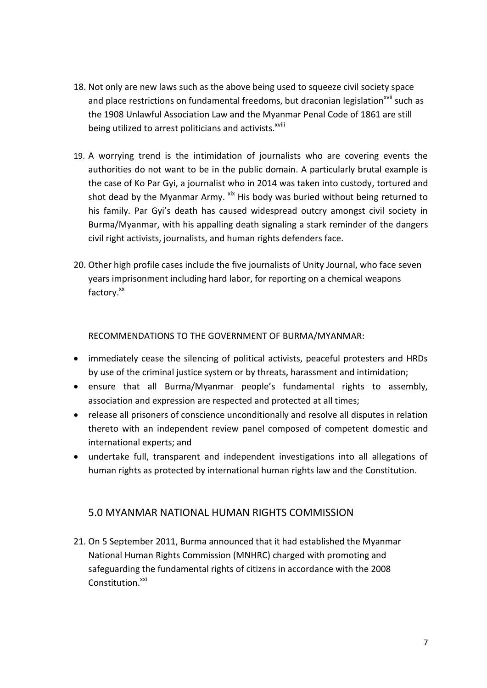- 18. Not only are new laws such as the above being used to squeeze civil society space and place restrictions on fundamental freedoms, but draconian legislation<sup>xvii</sup> such as the 1908 Unlawful Association Law and the Myanmar Penal Code of 1861 are still being utilized to arrest politicians and activists.<sup>xviii</sup>
- 19. A worrying trend is the intimidation of journalists who are covering events the authorities do not want to be in the public domain. A particularly brutal example is the case of Ko Par Gyi, a journalist who in 2014 was taken into custody, tortured and shot dead by the Myanmar Army. <sup>xix</sup> His body was buried without being returned to his family. Par Gyi's death has caused widespread outcry amongst civil society in Burma/Myanmar, with his appalling death signaling a stark reminder of the dangers civil right activists, journalists, and human rights defenders face.
- 20. Other high profile cases include the five journalists of Unity Journal, who face seven years imprisonment including hard labor, for reporting on a chemical weapons factory.<sup>xx</sup>

RECOMMENDATIONS TO THE GOVERNMENT OF BURMA/MYANMAR:

- immediately cease the silencing of political activists, peaceful protesters and HRDs by use of the criminal justice system or by threats, harassment and intimidation;
- ensure that all Burma/Myanmar people's fundamental rights to assembly, association and expression are respected and protected at all times;
- release all prisoners of conscience unconditionally and resolve all disputes in relation thereto with an independent review panel composed of competent domestic and international experts; and
- undertake full, transparent and independent investigations into all allegations of human rights as protected by international human rights law and the Constitution.

### 5.0 MYANMAR NATIONAL HUMAN RIGHTS COMMISSION

21. On 5 September 2011, Burma announced that it had established the Myanmar National Human Rights Commission (MNHRC) charged with promoting and safeguarding the fundamental rights of citizens in accordance with the 2008 Constitution.<sup>xxi</sup>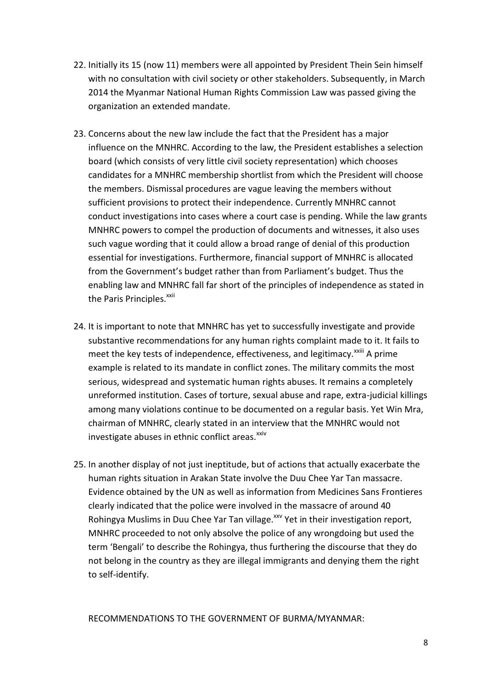- 22. Initially its 15 (now 11) members were all appointed by President Thein Sein himself with no consultation with civil society or other stakeholders. Subsequently, in March 2014 the Myanmar National Human Rights Commission Law was passed giving the organization an extended mandate.
- 23. Concerns about the new law include the fact that the President has a major influence on the MNHRC. According to the law, the President establishes a selection board (which consists of very little civil society representation) which chooses candidates for a MNHRC membership shortlist from which the President will choose the members. Dismissal procedures are vague leaving the members without sufficient provisions to protect their independence. Currently MNHRC cannot conduct investigations into cases where a court case is pending. While the law grants MNHRC powers to compel the production of documents and witnesses, it also uses such vague wording that it could allow a broad range of denial of this production essential for investigations. Furthermore, financial support of MNHRC is allocated from the Government's budget rather than from Parliament's budget. Thus the enabling law and MNHRC fall far short of the principles of independence as stated in the Paris Principles.<sup>xxii</sup>
- 24. It is important to note that MNHRC has yet to successfully investigate and provide substantive recommendations for any human rights complaint made to it. It fails to meet the key tests of independence, effectiveness, and legitimacy.<sup>xxiii</sup> A prime example is related to its mandate in conflict zones. The military commits the most serious, widespread and systematic human rights abuses. It remains a completely unreformed institution. Cases of torture, sexual abuse and rape, extra-judicial killings among many violations continue to be documented on a regular basis. Yet Win Mra, chairman of MNHRC, clearly stated in an interview that the MNHRC would not investigate abuses in ethnic conflict areas.<sup>XXIV</sup>
- 25. In another display of not just ineptitude, but of actions that actually exacerbate the human rights situation in Arakan State involve the Duu Chee Yar Tan massacre. Evidence obtained by the UN as well as information from Medicines Sans Frontieres clearly indicated that the police were involved in the massacre of around 40 Rohingya Muslims in Duu Chee Yar Tan village.<sup>xxv</sup> Yet in their investigation report, MNHRC proceeded to not only absolve the police of any wrongdoing but used the term 'Bengali' to describe the Rohingya, thus furthering the discourse that they do not belong in the country as they are illegal immigrants and denying them the right to self-identify.

RECOMMENDATIONS TO THE GOVERNMENT OF BURMA/MYANMAR: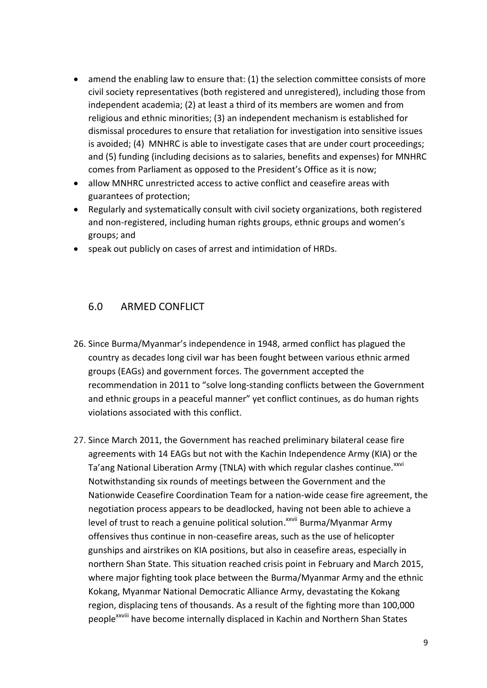- amend the enabling law to ensure that: (1) the selection committee consists of more civil society representatives (both registered and unregistered), including those from independent academia; (2) at least a third of its members are women and from religious and ethnic minorities; (3) an independent mechanism is established for dismissal procedures to ensure that retaliation for investigation into sensitive issues is avoided; (4) MNHRC is able to investigate cases that are under court proceedings; and (5) funding (including decisions as to salaries, benefits and expenses) for MNHRC comes from Parliament as opposed to the President's Office as it is now;
- allow MNHRC unrestricted access to active conflict and ceasefire areas with guarantees of protection;
- Regularly and systematically consult with civil society organizations, both registered and non-registered, including human rights groups, ethnic groups and women's groups; and
- speak out publicly on cases of arrest and intimidation of HRDs.

### 6.0 ARMED CONFLICT

- 26. Since Burma/Myanmar's independence in 1948, armed conflict has plagued the country as decades long civil war has been fought between various ethnic armed groups (EAGs) and government forces. The government accepted the recommendation in 2011 to "solve long-standing conflicts between the Government and ethnic groups in a peaceful manner" yet conflict continues, as do human rights violations associated with this conflict.
- 27. Since March 2011, the Government has reached preliminary bilateral cease fire agreements with 14 EAGs but not with the Kachin Independence Army (KIA) or the Ta'ang National Liberation Army (TNLA) with which regular clashes continue.<sup>xxvi</sup> Notwithstanding six rounds of meetings between the Government and the Nationwide Ceasefire Coordination Team for a nation-wide cease fire agreement, the negotiation process appears to be deadlocked, having not been able to achieve a level of trust to reach a genuine political solution.<sup>xxvii</sup> Burma/Myanmar Army offensives thus continue in non-ceasefire areas, such as the use of helicopter gunships and airstrikes on KIA positions, but also in ceasefire areas, especially in northern Shan State. This situation reached crisis point in February and March 2015, where major fighting took place between the Burma/Myanmar Army and the ethnic Kokang, Myanmar National Democratic Alliance Army, devastating the Kokang region, displacing tens of thousands. As a result of the fighting more than 100,000 people<sup>xxviii</sup> have become internally displaced in Kachin and Northern Shan States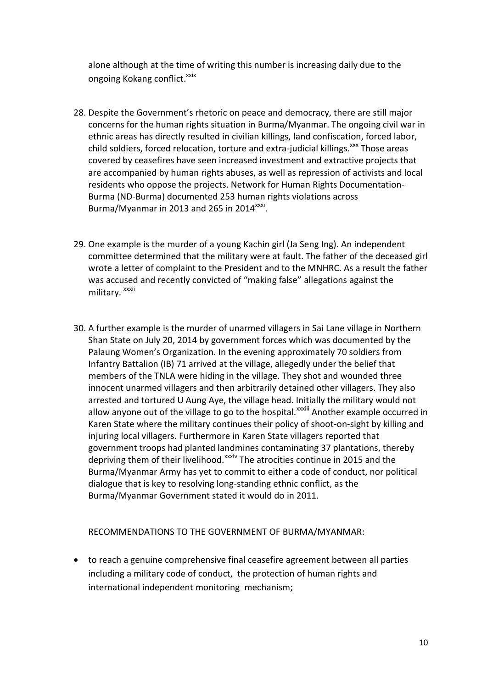alone although at the time of writing this number is increasing daily due to the ongoing Kokang conflict.<sup>xxix</sup>

- 28. Despite the Government's rhetoric on peace and democracy, there are still major concerns for the human rights situation in Burma/Myanmar. The ongoing civil war in ethnic areas has directly resulted in civilian killings, land confiscation, forced labor, child soldiers, forced relocation, torture and extra-judicial killings.<sup>xxx</sup> Those areas covered by ceasefires have seen increased investment and extractive projects that are accompanied by human rights abuses, as well as repression of activists and local residents who oppose the projects. Network for Human Rights Documentation-Burma (ND-Burma) documented 253 human rights violations across Burma/Myanmar in 2013 and 265 in 2014 $^{xxxxi}$ .
- 29. One example is the murder of a young Kachin girl (Ja Seng Ing). An independent committee determined that the military were at fault. The father of the deceased girl wrote a letter of complaint to the President and to the MNHRC. As a result the father was accused and recently convicted of "making false" allegations against the military. xxxii
- 30. A further example is the murder of unarmed villagers in Sai Lane village in Northern Shan State on July 20, 2014 by government forces which was documented by the Palaung Women's Organization. In the evening approximately 70 soldiers from Infantry Battalion (IB) 71 arrived at the village, allegedly under the belief that members of the TNLA were hiding in the village. They shot and wounded three innocent unarmed villagers and then arbitrarily detained other villagers. They also arrested and tortured U Aung Aye, the village head. Initially the military would not allow anyone out of the village to go to the hospital.<sup>xxxiii</sup> Another example occurred in Karen State where the military continues their policy of shoot-on-sight by killing and injuring local villagers. Furthermore in Karen State villagers reported that government troops had planted landmines contaminating 37 plantations, thereby depriving them of their livelihood.<sup>xxxiv</sup> The atrocities continue in 2015 and the Burma/Myanmar Army has yet to commit to either a code of conduct, nor political dialogue that is key to resolving long-standing ethnic conflict, as the Burma/Myanmar Government stated it would do in 2011.

#### RECOMMENDATIONS TO THE GOVERNMENT OF BURMA/MYANMAR:

 to reach a genuine comprehensive final ceasefire agreement between all parties including a military code of conduct, the protection of human rights and international independent monitoring mechanism;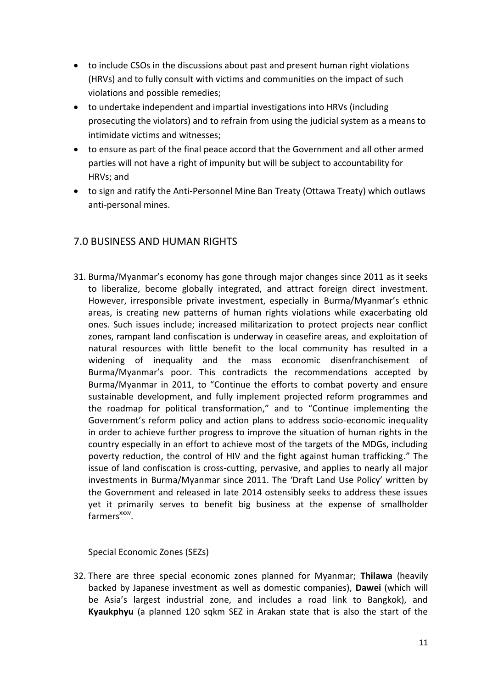- to include CSOs in the discussions about past and present human right violations (HRVs) and to fully consult with victims and communities on the impact of such violations and possible remedies;
- to undertake independent and impartial investigations into HRVs (including prosecuting the violators) and to refrain from using the judicial system as a means to intimidate victims and witnesses;
- to ensure as part of the final peace accord that the Government and all other armed parties will not have a right of impunity but will be subject to accountability for HRVs; and
- to sign and ratify the Anti-Personnel Mine Ban Treaty (Ottawa Treaty) which outlaws anti-personal mines.

## 7.0 BUSINESS AND HUMAN RIGHTS

31. Burma/Myanmar's economy has gone through major changes since 2011 as it seeks to liberalize, become globally integrated, and attract foreign direct investment. However, irresponsible private investment, especially in Burma/Myanmar's ethnic areas, is creating new patterns of human rights violations while exacerbating old ones. Such issues include; increased militarization to protect projects near conflict zones, rampant land confiscation is underway in ceasefire areas, and exploitation of natural resources with little benefit to the local community has resulted in a widening of inequality and the mass economic disenfranchisement of Burma/Myanmar's poor. This contradicts the recommendations accepted by Burma/Myanmar in 2011, to "Continue the efforts to combat poverty and ensure sustainable development, and fully implement projected reform programmes and the roadmap for political transformation," and to "Continue implementing the Government's reform policy and action plans to address socio-economic inequality in order to achieve further progress to improve the situation of human rights in the country especially in an effort to achieve most of the targets of the MDGs, including poverty reduction, the control of HIV and the fight against human trafficking." The issue of land confiscation is cross-cutting, pervasive, and applies to nearly all major investments in Burma/Myanmar since 2011. The 'Draft Land Use Policy' written by the Government and released in late 2014 ostensibly seeks to address these issues yet it primarily serves to benefit big business at the expense of smallholder farmers<sup>xxxv</sup>.

Special Economic Zones (SEZs)

32. There are three special economic zones planned for Myanmar; **Thilawa** (heavily backed by Japanese investment as well as domestic companies), **Dawei** (which will be Asia's largest industrial zone, and includes a road link to Bangkok), and **Kyaukphyu** (a planned 120 sqkm SEZ in Arakan state that is also the start of the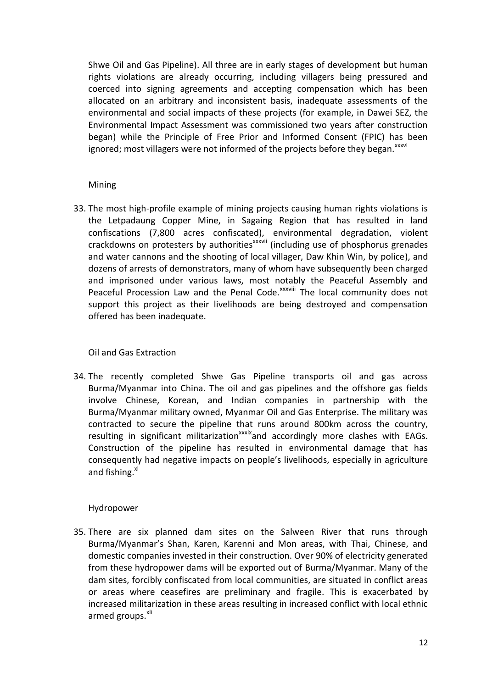Shwe Oil and Gas Pipeline). All three are in early stages of development but human rights violations are already occurring, including villagers being pressured and coerced into signing agreements and accepting compensation which has been allocated on an arbitrary and inconsistent basis, inadequate assessments of the environmental and social impacts of these projects (for example, in Dawei SEZ, the Environmental Impact Assessment was commissioned two years after construction began) while the Principle of Free Prior and Informed Consent (FPIC) has been ignored; most villagers were not informed of the projects before they began.<sup>xxxvi</sup>

#### Mining

33. The most high-profile example of mining projects causing human rights violations is the Letpadaung Copper Mine, in Sagaing Region that has resulted in land confiscations (7,800 acres confiscated), environmental degradation, violent crackdowns on protesters by authorities<sup>xxxvii</sup> (including use of phosphorus grenades and water cannons and the shooting of local villager, Daw Khin Win, by police), and dozens of arrests of demonstrators, many of whom have subsequently been charged and imprisoned under various laws, most notably the Peaceful Assembly and Peaceful Procession Law and the Penal Code.<sup>XXXVIII</sup> The local community does not support this project as their livelihoods are being destroyed and compensation offered has been inadequate.

#### Oil and Gas Extraction

34. The recently completed Shwe Gas Pipeline transports oil and gas across Burma/Myanmar into China. The oil and gas pipelines and the offshore gas fields involve Chinese, Korean, and Indian companies in partnership with the Burma/Myanmar military owned, Myanmar Oil and Gas Enterprise. The military was contracted to secure the pipeline that runs around 800km across the country, resulting in significant militarization $x$ <sup>xxix</sup>and accordingly more clashes with EAGs. Construction of the pipeline has resulted in environmental damage that has consequently had negative impacts on people's livelihoods, especially in agriculture and fishing.<sup>xl</sup>

#### Hydropower

35. There are six planned dam sites on the Salween River that runs through Burma/Myanmar's Shan, Karen, Karenni and Mon areas, with Thai, Chinese, and domestic companies invested in their construction. Over 90% of electricity generated from these hydropower dams will be exported out of Burma/Myanmar. Many of the dam sites, forcibly confiscated from local communities, are situated in conflict areas or areas where ceasefires are preliminary and fragile. This is exacerbated by increased militarization in these areas resulting in increased conflict with local ethnic armed groups.<sup>xli</sup>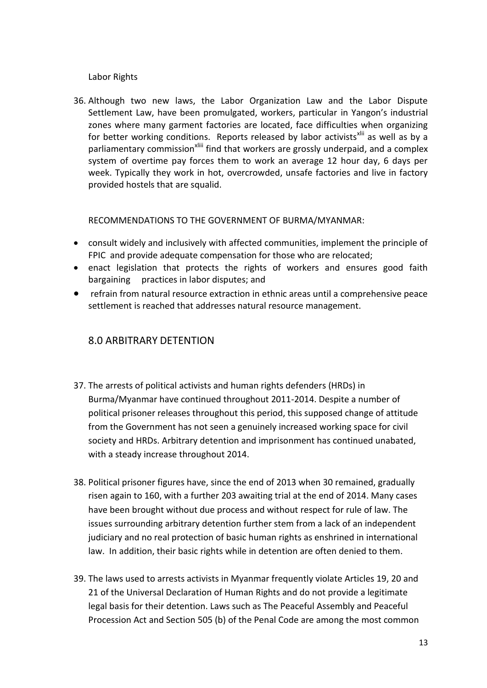#### Labor Rights

36. Although two new laws, the Labor Organization Law and the Labor Dispute Settlement Law, have been promulgated, workers, particular in Yangon's industrial zones where many garment factories are located, face difficulties when organizing for better working conditions. Reports released by labor activists<sup> $x$ lii</sup> as well as by a parliamentary commission<sup>xliii</sup> find that workers are grossly underpaid, and a complex system of overtime pay forces them to work an average 12 hour day, 6 days per week. Typically they work in hot, overcrowded, unsafe factories and live in factory provided hostels that are squalid.

RECOMMENDATIONS TO THE GOVERNMENT OF BURMA/MYANMAR:

- consult widely and inclusively with affected communities, implement the principle of FPIC and provide adequate compensation for those who are relocated;
- enact legislation that protects the rights of workers and ensures good faith bargaining practices in labor disputes; and
- refrain from natural resource extraction in ethnic areas until a comprehensive peace settlement is reached that addresses natural resource management.

## 8.0 ARBITRARY DETENTION

- 37. The arrests of political activists and human rights defenders (HRDs) in Burma/Myanmar have continued throughout 2011-2014. Despite a number of political prisoner releases throughout this period, this supposed change of attitude from the Government has not seen a genuinely increased working space for civil society and HRDs. Arbitrary detention and imprisonment has continued unabated, with a steady increase throughout 2014.
- 38. Political prisoner figures have, since the end of 2013 when 30 remained, gradually risen again to 160, with a further 203 awaiting trial at the end of 2014. Many cases have been brought without due process and without respect for rule of law. The issues surrounding arbitrary detention further stem from a lack of an independent judiciary and no real protection of basic human rights as enshrined in international law. In addition, their basic rights while in detention are often denied to them.
- 39. The laws used to arrests activists in Myanmar frequently violate Articles 19, 20 and 21 of the Universal Declaration of Human Rights and do not provide a legitimate legal basis for their detention. Laws such as The Peaceful Assembly and Peaceful Procession Act and Section 505 (b) of the Penal Code are among the most common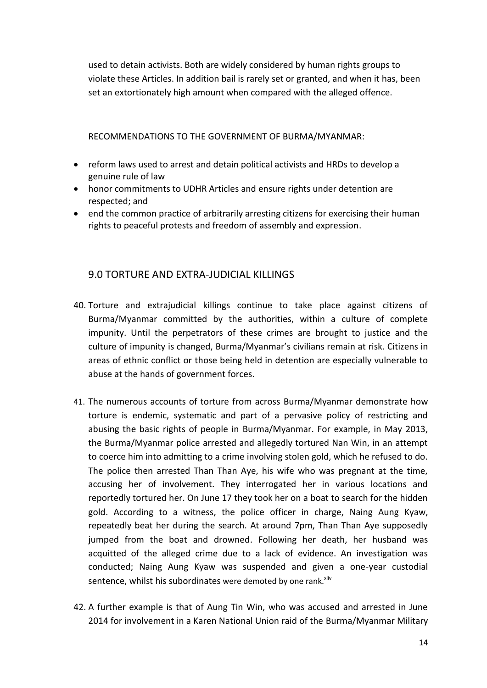used to detain activists. Both are widely considered by human rights groups to violate these Articles. In addition bail is rarely set or granted, and when it has, been set an extortionately high amount when compared with the alleged offence.

RECOMMENDATIONS TO THE GOVERNMENT OF BURMA/MYANMAR:

- reform laws used to arrest and detain political activists and HRDs to develop a genuine rule of law
- honor commitments to UDHR Articles and ensure rights under detention are respected; and
- end the common practice of arbitrarily arresting citizens for exercising their human rights to peaceful protests and freedom of assembly and expression.

## 9.0 TORTURE AND EXTRA-JUDICIAL KILLINGS

- 40. Torture and extrajudicial killings continue to take place against citizens of Burma/Myanmar committed by the authorities, within a culture of complete impunity. Until the perpetrators of these crimes are brought to justice and the culture of impunity is changed, Burma/Myanmar's civilians remain at risk. Citizens in areas of ethnic conflict or those being held in detention are especially vulnerable to abuse at the hands of government forces.
- 41. The numerous accounts of torture from across Burma/Myanmar demonstrate how torture is endemic, systematic and part of a pervasive policy of restricting and abusing the basic rights of people in Burma/Myanmar. For example, in May 2013, the Burma/Myanmar police arrested and allegedly tortured Nan Win, in an attempt to coerce him into admitting to a crime involving stolen gold, which he refused to do. The police then arrested Than Than Aye, his wife who was pregnant at the time, accusing her of involvement. They interrogated her in various locations and reportedly tortured her. On June 17 they took her on a boat to search for the hidden gold. According to a witness, the police officer in charge, Naing Aung Kyaw, repeatedly beat her during the search. At around 7pm, Than Than Aye supposedly jumped from the boat and drowned. Following her death, her husband was acquitted of the alleged crime due to a lack of evidence. An investigation was conducted; Naing Aung Kyaw was suspended and given a one-year custodial sentence, whilst his subordinates were demoted by one rank. Xilv
- 42. A further example is that of Aung Tin Win, who was accused and arrested in June 2014 for involvement in a Karen National Union raid of the Burma/Myanmar Military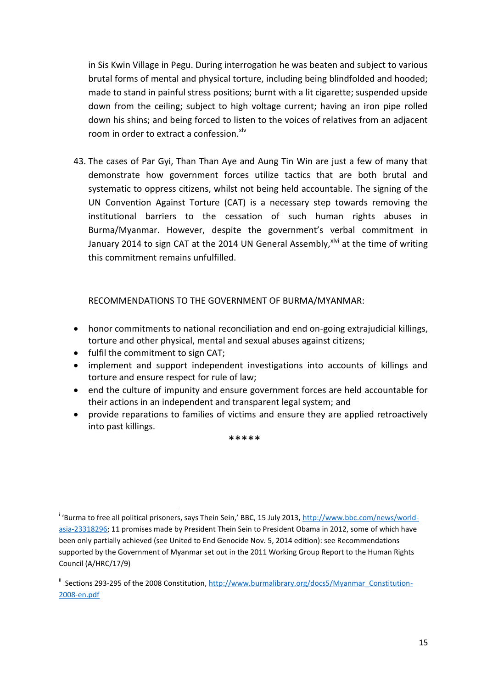in Sis Kwin Village in Pegu. During interrogation he was beaten and subject to various brutal forms of mental and physical torture, including being blindfolded and hooded; made to stand in painful stress positions; burnt with a lit cigarette; suspended upside down from the ceiling; subject to high voltage current; having an iron pipe rolled down his shins; and being forced to listen to the voices of relatives from an adjacent room in order to extract a confession. XIV

43. The cases of Par Gyi, Than Than Aye and Aung Tin Win are just a few of many that demonstrate how government forces utilize tactics that are both brutal and systematic to oppress citizens, whilst not being held accountable. The signing of the UN Convention Against Torture (CAT) is a necessary step towards removing the institutional barriers to the cessation of such human rights abuses in Burma/Myanmar. However, despite the government's verbal commitment in January 2014 to sign CAT at the 2014 UN General Assembly,  $x^{\text{Ivi}}$  at the time of writing this commitment remains unfulfilled.

RECOMMENDATIONS TO THE GOVERNMENT OF BURMA/MYANMAR:

- honor commitments to national reconciliation and end on-going extrajudicial killings, torture and other physical, mental and sexual abuses against citizens;
- fulfil the commitment to sign CAT;

1

- implement and support independent investigations into accounts of killings and torture and ensure respect for rule of law;
- end the culture of impunity and ensure government forces are held accountable for their actions in an independent and transparent legal system; and
- provide reparations to families of victims and ensure they are applied retroactively into past killings.

\*\*\*\*\*

<sup>&</sup>lt;sup>i</sup> 'Burma to free all political prisoners, says Thein Sein,' BBC, 15 July 2013, [http://www.bbc.com/news/world](http://www.bbc.com/news/world-asia-23318296)[asia-23318296;](http://www.bbc.com/news/world-asia-23318296) 11 promises made by President Thein Sein to President Obama in 2012, some of which have been only partially achieved (see United to End Genocide Nov. 5, 2014 edition): see Recommendations supported by the Government of Myanmar set out in the 2011 Working Group Report to the Human Rights Council (A/HRC/17/9)

<sup>&</sup>lt;sup>ii</sup> Sections 293-295 of the 2008 Constitution, [http://www.burmalibrary.org/docs5/Myanmar\\_Constitution-](http://www.burmalibrary.org/docs5/Myanmar_Constitution-2008-en.pdf)[2008-en.pdf](http://www.burmalibrary.org/docs5/Myanmar_Constitution-2008-en.pdf)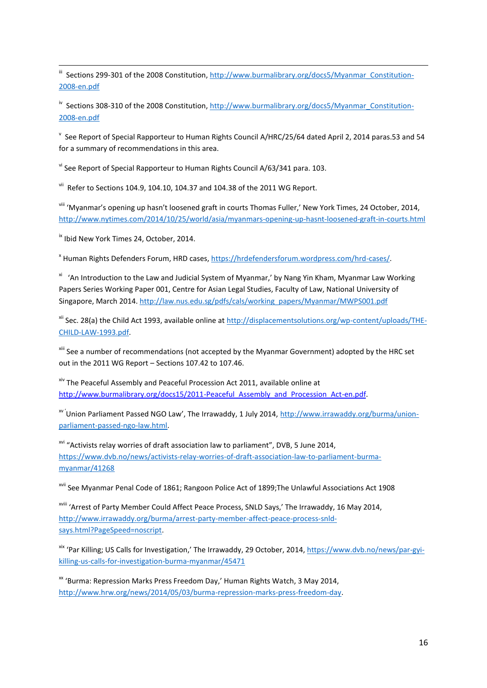iii Sections 299-301 of the 2008 Constitution, [http://www.burmalibrary.org/docs5/Myanmar\\_Constitution-](http://www.burmalibrary.org/docs5/Myanmar_Constitution-2008-en.pdf)[2008-en.pdf](http://www.burmalibrary.org/docs5/Myanmar_Constitution-2008-en.pdf) 

<sup>iv</sup> Sections 308-310 of the 2008 Constitution[, http://www.burmalibrary.org/docs5/Myanmar\\_Constitution-](http://www.burmalibrary.org/docs5/Myanmar_Constitution-2008-en.pdf)[2008-en.pdf](http://www.burmalibrary.org/docs5/Myanmar_Constitution-2008-en.pdf)

v See Report of Special Rapporteur to Human Rights Council A/HRC/25/64 dated April 2, 2014 paras.53 and 54 for a summary of recommendations in this area.

vi See Report of Special Rapporteur to Human Rights Council A/63/341 para. 103.

vii Refer to Sections 104.9, 104.10, 104.37 and 104.38 of the 2011 WG Report.

viii 'Myanmar's opening up hasn't loosened graft in courts Thomas Fuller,' New York Times, 24 October, 2014, <http://www.nytimes.com/2014/10/25/world/asia/myanmars-opening-up-hasnt-loosened-graft-in-courts.html>

<sup>ix</sup> Ibid New York Times 24, October, 2014.

<sup>x</sup> Human Rights Defenders Forum, HRD cases, [https://hrdefendersforum.wordpress.com/hrd-cases/.](https://hrdefendersforum.wordpress.com/hrd-cases/)

<sup>xi</sup> 'An Introduction to the Law and Judicial System of Myanmar,' by Nang Yin Kham, Myanmar Law Working Papers Series Working Paper 001, Centre for Asian Legal Studies, Faculty of Law, National University of Singapore, March 2014. [http://law.nus.edu.sg/pdfs/cals/working\\_papers/Myanmar/MWPS001.pdf](http://law.nus.edu.sg/pdfs/cals/working_papers/Myanmar/MWPS001.pdf)

<sup>xii</sup> Sec. 28(a) the Child Act 1993, available online at [http://displacementsolutions.org/wp-content/uploads/THE-](http://displacementsolutions.org/wp-content/uploads/THE-CHILD-LAW-1993.pdf)[CHILD-LAW-1993.pdf.](http://displacementsolutions.org/wp-content/uploads/THE-CHILD-LAW-1993.pdf)

xiii See a number of recommendations (not accepted by the Myanmar Government) adopted by the HRC set out in the 2011 WG Report – Sections 107.42 to 107.46.

xiv The Peaceful Assembly and Peaceful Procession Act 2011, available online at [http://www.burmalibrary.org/docs15/2011-Peaceful\\_Assembly\\_and\\_Procession\\_Act-en.pdf.](http://www.burmalibrary.org/docs15/2011-Peaceful_Assembly_and_Procession_Act-en.pdf)

<sup>xv '</sup>Union Parliament Passed NGO Law', The Irrawaddy, 1 July 2014, [http://www.irrawaddy.org/burma/union](http://www.irrawaddy.org/burma/union-parliament-passed-ngo-law.html)[parliament-passed-ngo-law.html.](http://www.irrawaddy.org/burma/union-parliament-passed-ngo-law.html)

<sup>xvi</sup> "Activists relay worries of draft association law to parliament", DVB, 5 June 2014, [https://www.dvb.no/news/activists-relay-worries-of-draft-association-law-to-parliament-burma](https://www.dvb.no/news/activists-relay-worries-of-draft-association-law-to-parliament-burma-myanmar/41268)[myanmar/41268](https://www.dvb.no/news/activists-relay-worries-of-draft-association-law-to-parliament-burma-myanmar/41268)

xvii See Myanmar Penal Code of 1861; Rangoon Police Act of 1899;The Unlawful Associations Act 1908

xviii 'Arrest of Party Member Could Affect Peace Process, SNLD Says,' The Irrawaddy, 16 May 2014, [http://www.irrawaddy.org/burma/arrest-party-member-affect-peace-process-snld](http://www.irrawaddy.org/burma/arrest-party-member-affect-peace-process-snld-says.html?PageSpeed=noscript)[says.html?PageSpeed=noscript.](http://www.irrawaddy.org/burma/arrest-party-member-affect-peace-process-snld-says.html?PageSpeed=noscript)

xix 'Par Killing; US Calls for Investigation,' The Irrawaddy, 29 October, 2014[, https://www.dvb.no/news/par-gyi](https://www.dvb.no/news/par-gyi-killing-us-calls-for-investigation-burma-myanmar/45471)[killing-us-calls-for-investigation-burma-myanmar/45471](https://www.dvb.no/news/par-gyi-killing-us-calls-for-investigation-burma-myanmar/45471)

xx 'Burma: Repression Marks Press Freedom Day,' Human Rights Watch, 3 May 2014, [http://www.hrw.org/news/2014/05/03/burma-repression-marks-press-freedom-day.](http://www.hrw.org/news/2014/05/03/burma-repression-marks-press-freedom-day)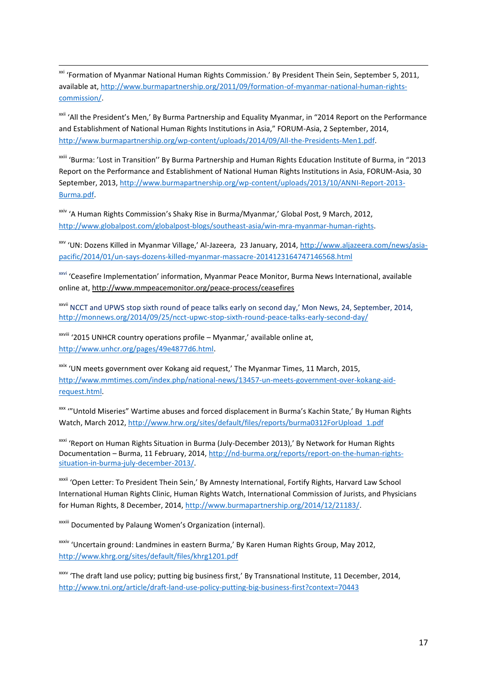1 <sup>xxi</sup> 'Formation of Myanmar National Human Rights Commission.' By President Thein Sein, September 5, 2011, available at, [http://www.burmapartnership.org/2011/09/formation-of-myanmar-national-human-rights](http://www.burmapartnership.org/2011/09/formation-of-myanmar-national-human-rights-commission/)[commission/.](http://www.burmapartnership.org/2011/09/formation-of-myanmar-national-human-rights-commission/)

<sup>xxii</sup> 'All the President's Men,' By Burma Partnership and Equality Myanmar, in "2014 Report on the Performance and Establishment of National Human Rights Institutions in Asia," FORUM-Asia, 2 September, 2014, [http://www.burmapartnership.org/wp-content/uploads/2014/09/All-the-Presidents-Men1.pdf.](http://www.burmapartnership.org/wp-content/uploads/2014/09/All-the-Presidents-Men1.pdf)

xxiii 'Burma: 'Lost in Transition'' By Burma Partnership and Human Rights Education Institute of Burma, in "2013 Report on the Performance and Establishment of National Human Rights Institutions in Asia, FORUM-Asia, 30 September, 2013[, http://www.burmapartnership.org/wp-content/uploads/2013/10/ANNI-Report-2013-](http://www.burmapartnership.org/wp-content/uploads/2013/10/ANNI-Report-2013-Burma.pdf) [Burma.pdf.](http://www.burmapartnership.org/wp-content/uploads/2013/10/ANNI-Report-2013-Burma.pdf)

xxiv 'A Human Rights Commission's Shaky Rise in Burma/Myanmar,' Global Post, 9 March, 2012, [http://www.globalpost.com/globalpost-blogs/southeast-asia/win-mra-myanmar-human-rights.](http://www.globalpost.com/globalpost-blogs/southeast-asia/win-mra-myanmar-human-rights)

xxv 'UN: Dozens Killed in Myanmar Village,' Al-Jazeera, 23 January, 2014, [http://www.aljazeera.com/news/asia](http://www.aljazeera.com/news/asia-pacific/2014/01/un-says-dozens-killed-myanmar-massacre-2014123164747146568.html)[pacific/2014/01/un-says-dozens-killed-myanmar-massacre-2014123164747146568.html](http://www.aljazeera.com/news/asia-pacific/2014/01/un-says-dozens-killed-myanmar-massacre-2014123164747146568.html)

xxvi 'Ceasefire Implementation' information, Myanmar Peace Monitor, Burma News International, available online at[, http://www.mmpeacemonitor.org/peace-process/ceasefires](http://www.mmpeacemonitor.org/peace-process/ceasefires)

xxvii NCCT and UPWS stop sixth round of peace talks early on second day,' Mon News, 24, September, 2014, <http://monnews.org/2014/09/25/ncct-upwc-stop-sixth-round-peace-talks-early-second-day/>

xxviii '2015 UNHCR country operations profile – Myanmar,' available online at, [http://www.unhcr.org/pages/49e4877d6.html.](http://www.unhcr.org/pages/49e4877d6.html) 

<sup>xxix</sup> 'UN meets government over Kokang aid request,' The Myanmar Times, 11 March, 2015, [http://www.mmtimes.com/index.php/national-news/13457-un-meets-government-over-kokang-aid](http://www.mmtimes.com/index.php/national-news/13457-un-meets-government-over-kokang-aid-request.html)[request.html.](http://www.mmtimes.com/index.php/national-news/13457-un-meets-government-over-kokang-aid-request.html)

xxx '"Untold Miseries" Wartime abuses and forced displacement in Burma's Kachin State,' By Human Rights Watch, March 2012, http://www.hrw.org/sites/default/files/reports/burma0312ForUpload\_1.pdf

xxxi 'Report on Human Rights Situation in Burma (July-December 2013),' By Network for Human Rights Documentation – Burma, 11 February, 2014, [http://nd-burma.org/reports/report-on-the-human-rights](http://nd-burma.org/reports/report-on-the-human-rights-situation-in-burma-july-december-2013/)[situation-in-burma-july-december-2013/.](http://nd-burma.org/reports/report-on-the-human-rights-situation-in-burma-july-december-2013/)

xxxii 'Open Letter: To President Thein Sein,' By Amnesty International, Fortify Rights, Harvard Law School International Human Rights Clinic, Human Rights Watch, International Commission of Jurists, and Physicians for Human Rights, 8 December, 2014[, http://www.burmapartnership.org/2014/12/21183/.](http://www.burmapartnership.org/2014/12/21183/)

xxxiii Documented by Palaung Women's Organization (internal).

xxxiv 'Uncertain ground: Landmines in eastern Burma,' By Karen Human Rights Group, May 2012, <http://www.khrg.org/sites/default/files/khrg1201.pdf>

xxxv 'The draft land use policy; putting big business first,' By Transnational Institute, 11 December, 2014, <http://www.tni.org/article/draft-land-use-policy-putting-big-business-first?context=70443>